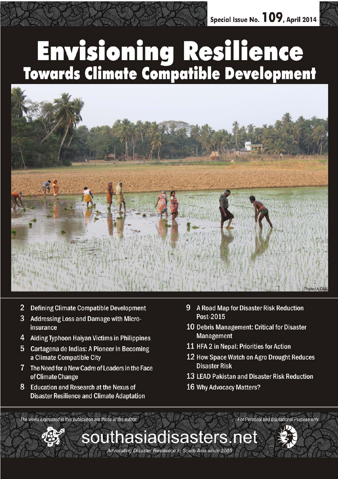# **Envisioning Resilience<br>Towards Climate Compatible Development**



southasiadisasters.net

Advocating Disaster Resilience in South Asia since 2005

- $\overline{2}$ Defining Climate Compatible Development
- 3 Addressing Loss and Damage with Microinsurance
- 4 Aiding Typhoon Haiyan Victims in Philippines
- 5 Cartagena de Indias: A Pioneer in Becoming a Climate Compatible City
- 7 The Need for a New Cadre of Leaders in the Face of Climate Change
- 8 Education and Research at the Nexus of **Disaster Resilience and Climate Adaptation**
- 9 A Road Map for Disaster Risk Reduction Post-2015
- 10 Debris Management: Critical for Disaster **Management**
- 11 HFA 2 in Nepal: Priorities for Action
- 12 How Space Watch on Agro Drought Reduces **Disaster Risk**
- 13 LEAD Pakistan and Disaster Risk Reduction

For Personal and Educational Purpose only

16 Why Advocacy Matters?

The views expressed in this publication are those of the author.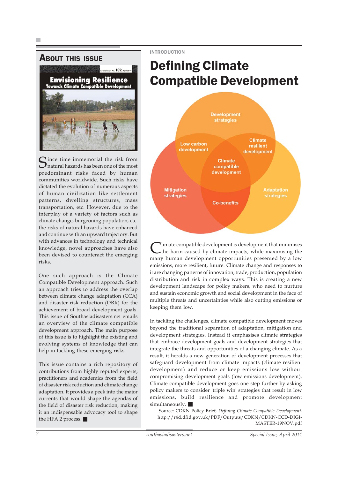INTRODUCTION



Since time immemorial the risk from<br>
Snatural hazards has been one of the most predominant risks faced by human communities worldwide. Such risks have dictated the evolution of numerous aspects of human civilization like settlement patterns, dwelling structures, mass transportation, etc. However, due to the interplay of a variety of factors such as climate change, burgeoning population, etc. the risks of natural hazards have enhanced and continue with an upward trajectory. But with advances in technology and technical knowledge, novel approaches have also been devised to counteract the emerging risks.

One such approach is the Climate Compatible Development approach. Such an approach tries to address the overlap between climate change adaptation (CCA) and disaster risk reduction (DRR) for the achievement of broad development goals. This issue of Southasiadisasters.net entails an overview of the climate compatible development approach. The main purpose of this issue is to highlight the existing and evolving systems of knowledge that can help in tackling these emerging risks.

This issue contains a rich repository of contributions from highly reputed experts, practitioners and academics from the field of disaster risk reduction and climate change adaptation. It provides a peek into the major currents that would shape the agendas of the field of disaster risk reduction, making it an indispensable advocacy tool to shape the HFA 2 process.

# Defining Climate Compatible Development



Iimate compatible development is development that minimises the harm caused by climate impacts, while maximising the many human development opportunities presented by a low emissions, more resilient, future. Climate change and responses to it are changing patterns of innovation, trade, production, population distribution and risk in complex ways. This is creating a new development landscape for policy makers, who need to nurture and sustain economic growth and social development in the face of multiple threats and uncertainties while also cutting emissions or keeping them low.

In tackling the challenges, climate compatible development moves beyond the traditional separation of adaptation, mitigation and development strategies. Instead it emphasises climate strategies that embrace development goals and development strategies that integrate the threats and opportunities of a changing climate. As a result, it heralds a new generation of development processes that safeguard development from climate impacts (climate resilient development) and reduce or keep emissions low without compromising development goals (low emissions development). Climate compatible development goes one step further by asking policy makers to consider 'triple win' strategies that result in low emissions, build resilience and promote development  $simultaneously.$ 

Source: CDKN Policy Brief, *Defining Climate Compatible Development,* http://r4d.dfid.gov.uk/PDF/Outputs/CDKN/CDKN-CCD-DIGI-MASTER-19NOV.pdf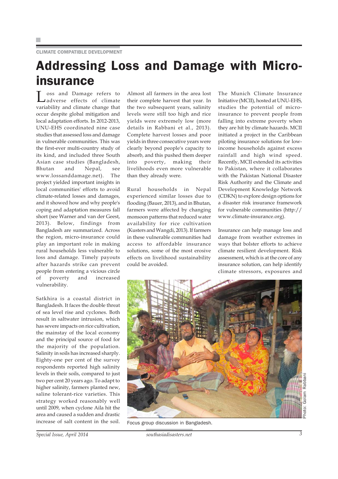## Addressing Loss and Damage with Microinsurance

Loss and Damage refers to adverse effects of climate variability and climate change that occur despite global mitigation and local adaptation efforts. In 2012-2013, UNU-EHS coordinated nine case studies that assessed loss and damage in vulnerable communities. This was the first-ever multi-country study of its kind, and included three South Asian case studies (Bangladesh, Bhutan and Nepal, see www.lossanddamage.net). The project yielded important insights in local communities' efforts to avoid climate-related losses and damages, and it showed how and why people's coping and adaptation measures fall short (see Warner and van der Geest, 2013). Below, findings from Bangladesh are summarized. Across the region, micro-insurance could play an important role in making rural households less vulnerable to loss and damage. Timely payouts after hazards strike can prevent people from entering a vicious circle of poverty and increased vulnerability.

Satkhira is a coastal district in Bangladesh. It faces the double threat of sea level rise and cyclones. Both result in saltwater intrusion, which has severe impacts on rice cultivation, the mainstay of the local economy and the principal source of food for the majority of the population. Salinity in soils has increased sharply. Eighty-one per cent of the survey respondents reported high salinity levels in their soils, compared to just two per cent 20 years ago. To adapt to higher salinity, farmers planted new, saline tolerant-rice varieties. This strategy worked reasonably well until 2009, when cyclone Aila hit the area and caused a sudden and drastic increase of salt content in the soil.

Almost all farmers in the area lost their complete harvest that year. In the two subsequent years, salinity levels were still too high and rice yields were extremely low (more details in Rabbani et al., 2013). Complete harvest losses and poor yields in three consecutive years were clearly beyond people's capacity to absorb, and this pushed them deeper into poverty, making their livelihoods even more vulnerable than they already were.

Rural households in Nepal experienced similar losses due to flooding (Bauer, 2013), and in Bhutan, farmers were affected by changing monsoon patterns that reduced water availability for rice cultivation (Kusters and Wangdi, 2013). If farmers in these vulnerable communities had access to affordable insurance solutions, some of the most erosive effects on livelihood sustainability could be avoided.

The Munich Climate Insurance Initiative (MCII), hosted at UNU-EHS, studies the potential of microinsurance to prevent people from falling into extreme poverty when they are hit by climate hazards. MCII initiated a project in the Caribbean piloting insurance solutions for lowincome households against excess rainfall and high wind speed. Recently, MCII extended its activities to Pakistan, where it collaborates with the Pakistan National Disaster Risk Authority and the Climate and Development Knowledge Network (CDKN) to explore design options for a disaster risk insurance framework for vulnerable communities (http:// www.climate-insurance.org).

Insurance can help manage loss and damage from weather extremes in ways that bolster efforts to achieve climate resilient development. Risk assessment, which is at the core of any insurance solution, can help identify climate stressors, exposures and

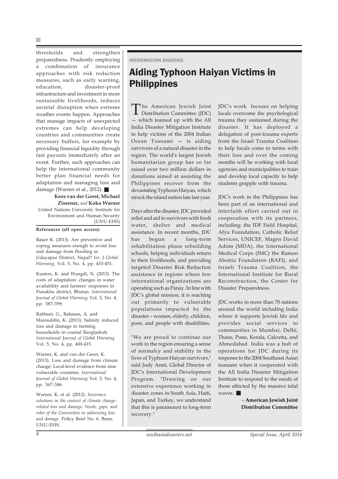thresholds and strengthen preparedness. Prudently employing a combination of insurance approaches with risk reduction measures, such as early warning, education, disaster-proof infrastructure and investment in more sustainable livelihoods, reduces societal disruption when extreme weather events happen. Approaches that manage impacts of unexpected extremes can help developing countries and communities create necessary buffers, for example by providing financial liquidity through fast payouts immediately after an event. Further, such approaches can help the international community better plan financial needs for adaptation and managing loss and damage (Warner et al., 2012).

**Kees van der Geest, Michael Zissener,** *and* **Koko Warner** United Nations University Institute for Environment and Human Security (UNU-EHS)

**References (all open access):**

Bauer K. (2013). Are preventive and coping measures enough to avoid loss and damage from flooding in Udayapur District, Nepal? *Int. J Global Warming,* Vol. 5, No. 4, pp. 433-451.

Kusters, K. and Wangdi, N. (2013). The costs of adaptation: changes in water availability and farmers' responses in Punakha district, Bhutan. *International Journal of Global Warming* Vol. 5, No. 4, pp. 387-399.

Rabbani, G., Rahman, A. and Mainuddin, K. (2013). Salinity induced loss and damage to farming households in coastal Bangladesh. *International Journal of Global Warming* Vol. 5, No. 4, pp. 400-415.

Warner, K. and van der Geest, K. (2013). Loss and damage from climate change: Local-level evidence from nine vulnerable countries. *International Journal of Global Warming* Vol. 5, No. 4, pp. 367-386.

Warner, K. et al. (2012). *Insurance solutions in the context of climate changerelated loss and damage: Needs, gaps, and roles of the Convention in addressing loss and damage.* Policy Brief No. 6. Bonn: UNU-EHS.

#### INFORMATION SHARING

## Aiding Typhoon Haiyan Victims in **Philippines**

The American Jewish Joint Distribution Committee (JDC) — which teamed up with the All India Disaster Mitigation Institute to help victims of the 2004 Indian Ocean Tsunami — is aiding survivors of a natural disaster in the region. The world's largest Jewish humanitarian group has so far raised over two million dollars in donations aimed at assisting the Philippines recover from the devastating Typhoon Haiyan, which struck the island nation late last year.

Days after the disaster, JDC provided relief and aid to survivors with fresh water, shelter and medical assistance. In recent months, JDC has begun a long-term rehabilitation phase rebuilding schools, helping individuals return to their livelihoods, and providing targeted Disaster Risk Reduction assistance in regions where few international organizations are operating such as Panay. In line with JDC's global mission, it is reaching out primarily to vulnerable populations impacted by the disaster – women, elderly, children, poor, and people with disabilities.

"We are proud to continue our work in the region ensuring a sense of normalcy and stability in the lives of Typhoon Haiyan survivors," said Judy Amit, Global Director of JDC's International Development Program. "Drawing on our extensive experience working in disaster zones in South Asia, Haiti, Japan, and Turkey, we understand that this is paramount to long-term recovery."

JDC's work focuses on helping locals overcome the psychological trauma they sustained during the disaster. It has deployed a delegation of post-trauma experts from the Israel Trauma Coalition to help locals come to terms with their loss and over the coming months will be working with local agencies and municipalities to train and develop local capacity to help students grapple with trauma.

JDC's work in the Philippines has been part of an international and interfaith effort carried out in cooperation with its partners, including: the IDF Field Hospital, Afya Foundation, Catholic Relief Services, UNICEF, Magen David Adom (MDA), the International Medical Corps (IMC) the Ramon Aboitiz Foundation (RAFI), and Israeli Trauma Coalition, the International Institute for Rural Reconstruction, the Center for Disaster Preparedness.

JDC works in more than 70 nations around the world including India where it supports Jewish life and provides social services to communities in Mumbai, Delhi, Thane, Pune, Kerala, Calcutta, and Ahmedabad. India was a hub of operations for JDC during its response to the 2004 Southeast Asian tsunami when it cooperated with the All India Disaster Mitigation Institute to respond to the needs of those affected by the massive tidal waves.

> *–* **American Jewish Joint Distribution Committee**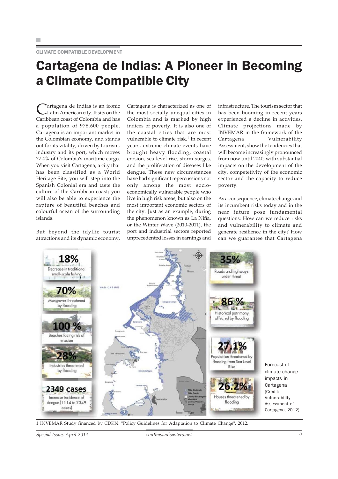## Cartagena de Indias: A Pioneer in Becoming a Climate Compatible City

Tartagena de Indias is an iconic Latin American city. It sits on the Caribbean coast of Colombia and has a population of 978,600 people. Cartagena is an important market in the Colombian economy, and stands out for its vitality, driven by tourism, industry and its port, which moves 77.4% of Colombia's maritime cargo. When you visit Cartagena, a city that has been classified as a World Heritage Site, you will step into the Spanish Colonial era and taste the culture of the Caribbean coast; you will also be able to experience the rapture of beautiful beaches and colourful ocean of the surrounding islands.

But beyond the idyllic tourist attractions and its dynamic economy, Cartagena is characterized as one of the most socially unequal cities in Colombia and is marked by high indices of poverty. It is also one of the coastal cities that are most vulnerable to climate risk. $1$  In recent years, extreme climate events have brought heavy flooding, coastal erosion, sea level rise, storm surges, and the proliferation of diseases like dengue. These new circumstances have had significant repercussions not only among the most socioeconomically vulnerable people who live in high risk areas, but also on the most important economic sectors of the city. Just as an example, during the phenomenon known as La Niña, or the Winter Wave (2010-2011), the port and industrial sectors reported unprecedented losses in earnings and

infrastructure. The tourism sector that has been booming in recent years experienced a decline in activities. Climate projections made by INVEMAR in the framework of the Cartagena Vulnerability Assessment, show the tendencies that will become increasingly pronounced from now until 2040, with substantial impacts on the development of the city, competetivity of the economic sector and the capacity to reduce poverty.

As a consequence, climate change and its incumbent risks today and in the near future pose fundamental questions: How can we reduce risks and vulnerability to climate and generate resilience in the city? How can we guarantee that Cartagena



1 INVEMAR Study financed by CDKN: "Policy Guidelines for Adaptation to Climate Change", 2012.

*Special Issue, April 2014 southasiadisasters.net 5*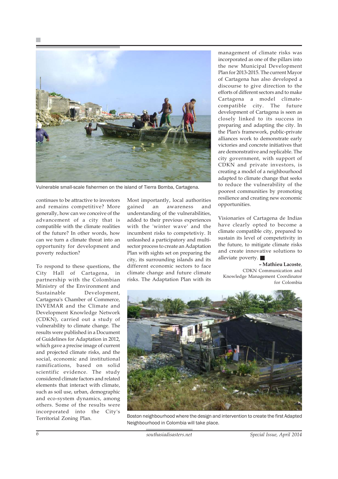

Vulnerable small-scale fishermen on the island of Tierra Bomba, Cartagena.

continues to be attractive to investors and remains competitive? More generally, how can we conceive of the advancement of a city that is compatible with the climate realities of the future? In other words, how can we turn a climate threat into an opportunity for development and poverty reduction?

To respond to these questions, the City Hall of Cartagena, in partnership with the Colombian Ministry of the Environment and Sustainable Development, Cartagena's Chamber of Commerce, INVEMAR and the Climate and Development Knowledge Network (CDKN), carried out a study of vulnerability to climate change. The results were published in a Document of Guidelines for Adaptation in 2012, which gave a precise image of current and projected climate risks, and the social, economic and institutional ramifications, based on solid scientific evidence. The study considered climate factors and related elements that interact with climate, such as soil use, urban, demographic and eco-system dynamics, among others. Some of the results were incorporated into the City's Territorial Zoning Plan.

Most importantly, local authorities gained an awareness and understanding of the vulnerabilities, added to their previous experiences with the 'winter wave' and the incumbent risks to competetiviy. It unleashed a participatory and multisector process to create an Adaptation Plan with sights set on preparing the city, its surrounding islands and its different economic sectors to face climate change and future climate risks. The Adaptation Plan with its

management of climate risks was incorporated as one of the pillars into the new Municipal Development Plan for 2013-2015. The current Mayor of Cartagena has also developed a discourse to give direction to the efforts of different sectors and to make Cartagena a model climatecompatible city. The future development of Cartagena is seen as closely linked to its success in preparing and adapting the city. In the Plan's framework, public-private alliances work to demonstrate early victories and concrete initiatives that are demonstrative and replicable. The city government, with support of CDKN and private investors, is creating a model of a neighbourhood adapted to climate change that seeks to reduce the vulnerability of the poorest communities by promoting resilience and creating new economic opportunities.

Visionaries of Cartagena de Indias have clearly opted to become a climate compatible city, prepared to sustain its level of competetivity in the future, to mitigate climate risks and create innovative solutions to alleviate poverty.

**– Mathieu Lacoste**, CDKN Communication and Knowledge Management Coordinator for Colombia



Boston neighbourhood where the design and intervention to create the first Adapted Neighbourhood in Colombia will take place.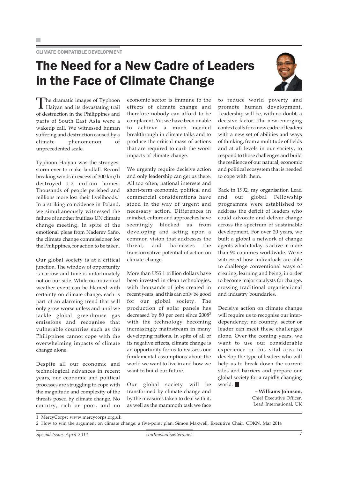## The Need for a New Cadre of Leaders in the Face of Climate Change



The dramatic images of Typhoon Haiyan and its devastating trail of destruction in the Philippines and parts of South East Asia were a wakeup call. We witnessed human suffering and destruction caused by a climate phenomenon of unprecedented scale.

Typhoon Haiyan was the strongest storm ever to make landfall. Record breaking winds in excess of 300 km/h destroyed 1.2 million homes. Thousands of people perished and millions more lost their livelihoods.<sup>1</sup> In a striking coincidence in Poland, we simultaneously witnessed the failure of another fruitless UN climate change meeting. In spite of the emotional pleas from Naderev Saño, the climate change commissioner for the Philippines, for action to be taken.

Our global society is at a critical junction. The window of opportunity is narrow and time is unfortunately not on our side. While no individual weather event can be blamed with certainty on climate change, each is part of an alarming trend that will only grow worse unless and until we tackle global greenhouse gas emissions and recognise that vulnerable countries such as the Philippines cannot cope with the overwhelming impacts of climate change alone.

Despite all our economic and technological advances in recent years, our economic and political processes are struggling to cope with the magnitude and complexity of the threats posed by climate change. No country, rich or poor, and no economic sector is immune to the effects of climate change and therefore nobody can afford to be complacent. Yet we have been unable achieve a much needed breakthrough in climate talks and to produce the critical mass of actions that are required to curb the worst impacts of climate change.

We urgently require decisive action and only leadership can get us there. All too often, national interests and short-term economic, political and commercial considerations have stood in the way of urgent and necessary action. Differences in mindset, culture and approaches have seemingly blocked us from developing and acting upon a common vision that addresses the threat, and harnesses the transformative potential of action on climate change.

More than US\$ 1 trillion dollars have been invested in clean technologies, with thousands of jobs created in recent years, and this can only be good for our global society. The production of solar panels has decreased by 80 per cent since 20082 with the technology becoming increasingly mainstream in many developing nations. In spite of all of its negative effects, climate change is an opportunity for us to reassess our fundamental assumptions about the world we want to live in and how we want to build our future.

Our global society will be transformed by climate change and by the measures taken to deal with it, as well as the mammoth task we face

to reduce world poverty and promote human development. Leadership will be, with no doubt, a decisive factor. The new emerging context calls for a new cadre of leaders with a new set of abilities and ways of thinking, from a multitude of fields and at all levels in our society, to respond to those challenges and build the resilience of our natural, economic and political ecosystem that is needed to cope with them.

Back in 1992, my organisation Lead and our global Fellowship programme were established to address the deficit of leaders who could advocate and deliver change across the spectrum of sustainable development. For over 20 years, we built a global a network of change agents which today is active in more than 90 countries worldwide. We've witnessed how individuals are able to challenge conventional ways of creating, learning and being, in order to become major catalysts for change, crossing traditional organisational and industry boundaries.

Decisive action on climate change will require us to recognise our interdependency; no country, sector or leader can meet these challenges alone. Over the coming years, we want to use our considerable experience in this vital area to develop the type of leaders who will help us to break down the current silos and barriers and prepare our global society for a rapidly changing world.

> **– Williams Johnson,** Chief Executive Officer, Lead International, UK

1 MercyCorps: www.mercycorps.org.uk

<sup>2</sup> How to win the argument on climate change: a five-point plan. Simon Maxwell, Executive Chair, CDKN. Mar 2014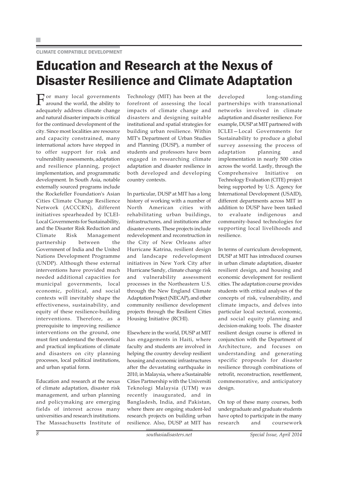#### CLIMATE COMPATIBLE DEVELOPMENT

## Education and Research at the Nexus of Disaster Resilience and Climate Adaptation

For many local governments around the world, the ability to adequately address climate change and natural disaster impacts is critical for the continued development of the city. Since most localities are resource and capacity constrained, many international actors have stepped in to offer support for risk and vulnerability assessments, adaptation and resilience planning, project implementation, and programmatic development. In South Asia, notable externally sourced programs include the Rockefeller Foundation's Asian Cities Climate Change Resilience Network (ACCCRN), different initiatives spearheaded by ICLEI-Local Governments for Sustainability, and the Disaster Risk Reduction and Climate Risk Management partnership between the Government of India and the United Nations Development Programme (UNDP). Although these external interventions have provided much needed additional capacities for municipal governments, local economic, political, and social contexts will inevitably shape the effectiveness, sustainability, and equity of these resilience-building interventions. Therefore, as a prerequisite to improving resilience interventions on the ground, one must first understand the theoretical and practical implications of climate and disasters on city planning processes, local political institutions, and urban spatial form.

Education and research at the nexus of climate adaptation, disaster risk management, and urban planning and policymaking are emerging fields of interest across many universities and research institutions. The Massachusetts Institute of Technology (MIT) has been at the forefront of assessing the local impacts of climate change and disasters and designing suitable institutional and spatial strategies for building urban resilience. Within MIT's Department of Urban Studies and Planning (DUSP), a number of students and professors have been engaged in researching climate adaptation and disaster resilience in both developed and developing country contexts.

In particular, DUSP at MIT has a long history of working with a number of North American cities with rehabilitating urban buildings, infrastructures, and institutions after disaster events. These projects include redevelopment and reconstruction in the City of New Orleans after Hurricane Katrina, resilient design and landscape redevelopment initiatives in New York City after Hurricane Sandy, climate change risk and vulnerability assessment processes in the Northeastern U.S. through the New England Climate Adaptation Project (NECAP), and other community resilience development projects through the Resilient Cities Housing Initiative (RCHI).

Elsewhere in the world, DUSP at MIT has engagements in Haiti, where faculty and students are involved in helping the country develop resilient housing and economic infrastructures after the devastating earthquake in 2010, in Malaysia, where a Sustainable Cities Partnership with the Universiti Teknologi Malaysia (UTM) was recently inaugurated, and in Bangladesh, India, and Pakistan, where there are ongoing student-led research projects on building urban resilience. Also, DUSP at MIT has

developed long-standing partnerships with transnational networks involved in climate adaptation and disaster resilience. For example, DUSP at MIT partnered with ICLEI—Local Governments for Sustainability to produce a global survey assessing the process of adaptation planning and implementation in nearly 500 cities across the world. Lastly, through the Comprehensive Initiative on Technology Evaluation (CITE) project being supported by U.S. Agency for International Development (USAID), different departments across MIT in addition to DUSP have been tasked to evaluate indigenous and community-based technologies for supporting local livelihoods and resilience.

In terms of curriculum development, DUSP at MIT has introduced courses in urban climate adaptation, disaster resilient design, and housing and economic development for resilient cities. The adaptation course provides students with critical analyses of the concepts of risk, vulnerability, and climate impacts, and delves into particular local sectoral, economic, and social equity planning and decision-making tools. The disaster resilient design course is offered in conjunction with the Department of Architecture, and focuses on understanding and generating specific proposals for disaster resilience through combinations of retrofit, reconstruction, resettlement, commemorative, and anticipatory design.

On top of these many courses, both undergraduate and graduate students have opted to participate in the many research and coursework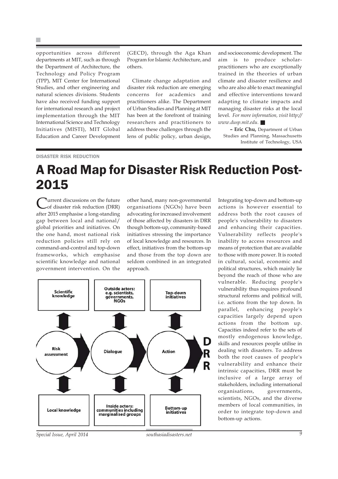opportunities across different departments at MIT, such as through the Department of Architecture, the Technology and Policy Program (TPP), MIT Center for International Studies, and other engineering and natural sciences divisions. Students have also received funding support for international research and project implementation through the MIT International Science and Technology Initiatives (MISTI), MIT Global Education and Career Development

(GECD), through the Aga Khan Program for Islamic Architecture, and others.

Climate change adaptation and disaster risk reduction are emerging concerns for academics and practitioners alike. The Department of Urban Studies and Planning at MIT has been at the forefront of training researchers and practitioners to address these challenges through the lens of public policy, urban design,

and socioeconomic development. The aim is to produce scholarpractitioners who are exceptionally trained in the theories of urban climate and disaster resilience and who are also able to enact meaningful and effective interventions toward adapting to climate impacts and managing disaster risks at the local level. *For more information, visit http:// www.dusp.mit.edu.* 

**– Eric Chu,** Department of Urban Studies and Planning, Massachusetts Institute of Technology, USA

#### DISASTER RISK REDUCTION

## A Road Map for Disaster Risk Reduction Post-2015

Turrent discussions on the future of disaster risk reduction (DRR) after 2015 emphasise a long-standing gap between local and national/ global priorities and initiatives. On the one hand, most national risk reduction policies still rely on command-and-control and top-down frameworks, which emphasise scientific knowledge and national government intervention. On the

other hand, many non-governmental organisations (NGOs) have been advocating for increased involvement of those affected by disasters in DRR though bottom-up, community-based initiatives stressing the importance of local knowledge and resources. In effect, initiatives from the bottom-up and those from the top down are seldom combined in an integrated approach.



Integrating top-down and bottom-up actions is however essential to address both the root causes of people's vulnerability to disasters and enhancing their capacities. Vulnerability reflects people's inability to access resources and means of protection that are available to those with more power. It is rooted in cultural, social, economic and political structures, which mainly lie beyond the reach of those who are vulnerable. Reducing people's vulnerability thus requires profound structural reforms and political will, i.e. actions from the top down. In parallel, enhancing people's capacities largely depend upon actions from the bottom up. Capacities indeed refer to the sets of mostly endogenous knowledge, skills and resources people utilise in dealing with disasters. To address both the root causes of people's vulnerability and enhance their intrinsic capacities, DRR must be inclusive of a large array of stakeholders, including international organisations, governments, scientists, NGOs, and the diverse members of local communities, in order to integrate top-down and bottom-up actions.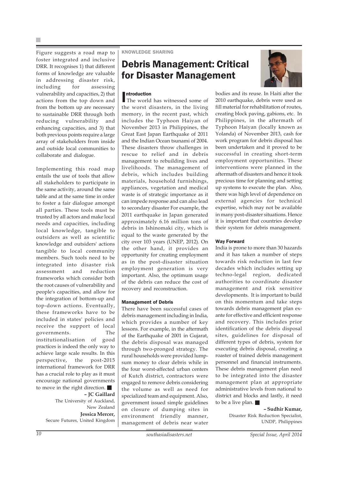Figure suggests a road map to foster integrated and inclusive DRR. It recognises 1) that different forms of knowledge are valuable in addressing disaster risk, including for assessing vulnerability and capacities, 2) that actions from the top down and from the bottom up are necessary to sustainable DRR through both reducing vulnerability and enhancing capacities, and 3) that both previous points require a large array of stakeholders from inside and outside local communities to collaborate and dialogue.

Implementing this road map entails the use of tools that allow all stakeholders to participate in the same activity, around the same table and at the same time in order to foster a fair dialogue amongst all parties. These tools must be trusted by all actors and make local needs and capacities, including local knowledge, tangible to outsiders as well as scientific knowledge and outsiders' actions tangible to local community members. Such tools need to be integrated into disaster risk assessment and reduction frameworks which consider both the root causes of vulnerability and people's capacities, and allow for the integration of bottom-up and top-down actions. Eventually, these frameworks have to be included in states' policies and receive the support of local governments. The institutionalisation of good practices is indeed the only way to achieve large scale results. In this perspective, the post-2015 international framework for DRR has a crucial role to play as it must encourage national governments to move in the right direction. **– JC Gaillard**

The University of Auckland, New Zealand **Jessica Mercer,** Secure Futures, United Kingdom KNOWLEDGE SHARING

### Debris Management: Critical for Disaster Management



#### **Introduction**

**Introduction**<br>The world has witnessed some of the worst disasters, in the living memory, in the recent past, which includes the Typhoon Haiyan of November 2013 in Philippines, the Great East Japan Earthquake of 2011 and the Indian Ocean tsunami of 2004. These disasters throw challenges in rescue to relief and in debris management to rebuilding lives and livelihoods. The management of debris, which includes building materials, household furnishings, appliances, vegetation and medical waste is of strategic importance as it can impede response and can also lead to secondary disaster For example, the 2011 earthquake in Japan generated approximately 6.16 million tons of debris in Ishinomaki city, which is equal to the waste generated by the city over 103 years (UNEP, 2012). On the other hand, it provides an opportunity for creating employment as in the post-disaster situation employment generation is very important. Also, the optimum usage of the debris can reduce the cost of recovery and reconstruction.

#### Management of Debris

There have been successful cases of debris management including in India, which provides a number of key lessons. For example, in the aftermath of the Earthquake of 2001 in Gujarat, the debris disposal was managed through two-pronged strategy. The rural households were provided lumpsum money to clear debris while in the four worst-affected urban centers of Kutch district, contractors were engaged to remove debris considering the volume as well as need for specialized team and equipment. Also, government issued simple guidelines on closure of dumping sites in environment friendly manner, management of debris near water

bodies and its reuse. In Haiti after the 2010 earthquake, debris were used as fill material for rehabilitation of routes, creating block paving, gabions, etc. In Philippines, in the aftermath of Typhoon Haiyan (locally known as Yolanda) of November 2013, cash for work program for debris disposal has been undertaken and it proved to be successful in creating short-term employment opportunities. These interventions were planned in the aftermath of disasters and hence it took precious time for planning and setting up systems to execute the plan. Also, there was high level of dependence on external agencies for technical expertise, which may not be available in many post-disaster situations. Hence it is important that countries develop their system for debris management.

#### Way Forward

India is prone to more than 30 hazards and it has taken a number of steps towards risk reduction in last few decades which includes setting up techno-legal region, dedicated authorities to coordinate disaster management and risk sensitive developments. It is important to build on this momentum and take steps towards debris management plan exante for effective and efficient response and recovery. This includes prior identification of the debris disposal sites, guidelines for disposal of different types of debris, system for executing debris disposal, creating a roaster of trained debris management personnel and financial instruments. These debris management plan need to be integrated into the disaster management plan at appropriate administrative levels from national to district and blocks and lastly, it need to be a live plan.

#### **– Sudhir Kumar,**

Disaster Risk Reduction Specialist, UNDP, Philippines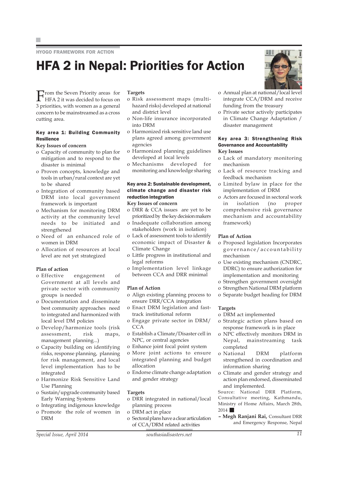HYOGO FRAMEWORK FOR ACTION

# HFA 2 in Nepal: Priorities for Action



**F**rom the Seven Priority areas for HFA 2 it was decided to focus on 3 priorities, with women as a general concern to be mainstreamed as a cross cutting area.

#### Key area 1: Building Community Resilience

#### **Key Issues of concern**

- o Capacity of community to plan for mitigation and to respond to the disaster is minimal
- o Proven concepts, knowledge and tools in urban/rural context are yet to be shared
- o Integration of community based DRM into local government framework is important
- o Mechanism for monitoring DRM activity at the community level needs to be initiated and strengthened
- o Need of an enhanced role of women in DRM
- o Allocation of resources at local level are not yet strategized

#### **Plan of action**

- o Effective engagement of Government at all levels and private sector with community groups is needed
- o Documentation and disseminate best community approaches need to integrated and harmonized with local level DM policies
- o Develop/harmonize tools (risk assessment, risk maps, management planning...)
- o Capacity building on identifying risks, response planning, planning for risk management, and local level implementation has to be integrated
- o Harmonize Risk Sensitive Land Use Planning
- o Sustain/upgrade community based Early Warning Systems
- o Integrating indigenous knowledge
- o Promote the role of women in DRM

#### **Targets**

- o Risk assessment maps (multihazard risks) developed at national and district level
- o Non-life insurance incorporated into DRM
- o Harmonized risk sensitive land use plans agreed among government agencies
- o Harmonized planning guidelines developed at local levels
- o Mechanisms developed for

#### Key area 2: Sustainable development, climate change and disaster risk reduction integration

#### **Key Issues of concern**

- o DRR & CCA issues are yet to be prioritized by the key decision makers
- o Inadequate collaboration among stakeholders (work in isolation)
- o Lack of assessment tools to identify economic impact of Disaster & Climate Change
- o Little progress in institutional and legal reforms
- o Implementation level linkage between CCA and DRR minimal

#### **Plan of Action**

- o Align existing planning process to ensure DRR/CCA integration
- o Enact DRM legislation and fasttrack institutional reform
- o Engage private sector in DRM/ **CCA**
- o Establish a Climate/Disaster cell in NPC, or central agencies
- o Enhance joint focal point system
- o More joint actions to ensure integrated planning and budget allocation
- o Endorse climate change adaptation and gender strategy

#### **Targets**

- o DRR integrated in national/local planning process
- o DRM act in place
- o Sectoral plans have a clear articulation of CCA/DRM related activities
- o Annual plan at national/local level integrate CCA/DRM and receive funding from the treasury
- o Private sector actively participates in Climate Change Adaptation / disaster management

#### Key area 3: Strengthening Risk Governance and Accountability **Key Issues**

- o Lack of mandatory monitoring mechanism
- o Lack of resource tracking and feedback mechanism
- o Limited bylaw in place for the implementation of DRM
- o Actors are focused in sectoral work in isolation (no proper comprehensive risk governance mechanism and accountability framework)

#### **Plan of Action**

- o Proposed legislation Incorporates governance/accountability mechanism
- o Use existing mechanism (CNDRC, DDRC) to ensure authorization for implementation and monitoring
- o Strengthen government oversight
- o Strengthen National DRM platform
- o Separate budget heading for DRM

#### **Targets**

- o DRM act implemented
- o Strategic action plans based on response framework is in place
- o NPC effectively monitors DRM in Nepal, mainstreaming task completed
- o National DRM platform strengthened in coordination and information sharing
- o Climate and gender strategy and action plan endorsed, disseminated and implemented.

Source: National DRR Platform, Consultative meeting, Kathmandu, Ministry of Home Affairs, March 28th, 2014 **12** 

**– Megh Ranjani Rai,** Consultant DRR and Emergency Response, Nepal

- 
- monitoring and knowledge sharing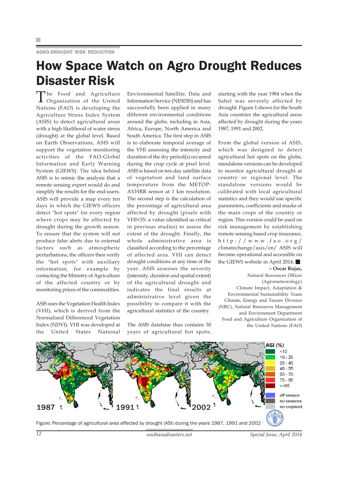#### AGRO-DROUGHT RISK REDUCTION

## How Space Watch on Agro Drought Reduces Disaster Risk

The Food and Agriculture Organization of the United Nations (FAO) is developing the Agriculture Stress Index System (ASIS) to detect agricultural areas with a high likelihood of water stress (drought) at the global level. Based on Earth Observations, ASIS will support the vegetation monitoring activities of the FAO-Global Information and Early Warning System (GIEWS). The idea behind ASIS is to mimic the analysis that a remote sensing expert would do and simplify the results for the end-users. ASIS will provide a map every ten days in which the GIEWS officers detect "hot spots" for every region where crops may be affected by drought during the growth season. To ensure that the system will not produce false alerts due to external factors such as atmospheric perturbations, the officers then verify the "hot spots" with auxiliary information, for example by contacting the Ministry of Agriculture of the affected country or by monitoring prices of the commodities.

ASIS uses the Vegetation Health Index (VHI), which is derived from the Normalized Differenced Vegetation Index (NDVI). VHI was developed at the United States National

Environmental Satellite, Data and Information Service (NESDIS) and has successfully been applied in many different environmental conditions around the globe, including in Asia, Africa, Europe, North America and South America. The first step in ASIS is to elaborate temporal average of the VHI assessing the intensity and duration of the dry period(s) occurred during the crop cycle at pixel level. ASIS is based on ten-day satellite data of vegetation and land surface temperature from the METOP-AVHRR sensor at 1 km resolution. The second step is the calculation of the percentage of agricultural area affected by drought (pixels with VHI<35- a value identified as critical in previous studies) to assess the extent of the drought. Finally, the whole administrative area is classified according to the percentage of affected area. VHI can detect drought conditions at any time of the year. ASIS assesses the severity (intensity, duration and spatial extent) of the agricultural drought and indicates the final results at administrative level given the possibility to compare it with the agricultural statistics of the country.

The ASIS database thus contains 30 years of agricultural hot spots,

starting with the year 1984 when the Sahel was severely affected by drought. Figure 1 shows for the South Asia countries the agricultural areas affected by drought during the years 1987, 1991 and 2002.

From the global version of ASIS, which was designed to detect agricultural hot spots on the globe, standalone versions can be developed to monitor agricultural drought at country or regional level. The standalone versions would be calibrated with local agricultural statistics and they would use specific parameters, coefficients and masks of the main crops of the country or region. This version could be used on risk management by establishing remote sensing based crop insurance. http://www.fao.org/ climatechange/asis/en/ ASIS will become operational and accessible on the GIEWS website in April 2014.

**– Oscar Rojas,** Natural Resources Officer (Agrometeorology) Climate Impact, Adaptation & Environmental Sustainability Team Climate, Energy and Tenure Division (NRC), Natural Resources Management and Environment Department Food and Agriculture Organization of the United Nations (FAO)

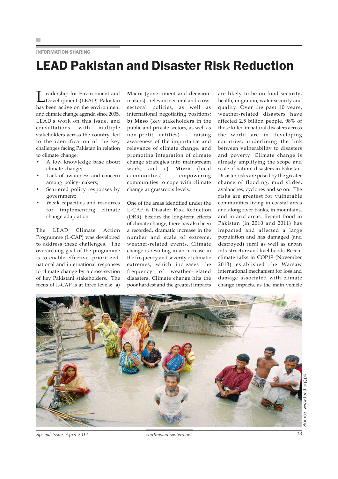#### INFORMATION SHARING

## LEAD Pakistan and Disaster Risk Reduction

Leadership for Environment and Development (LEAD) Pakistan has been active on the environment and climate change agenda since 2005. LEAD's work on this issue, and consultations with multiple stakeholders across the country, led to the identification of the key challenges facing Pakistan in relation to climate change:

- A low knowledge base about climate change;
- Lack of awareness and concern among policy-makers;
- Scattered policy responses by government;
- Weak capacities and resources for implementing climate change adaptation.

The LEAD Climate Action Programme (L-CAP) was developed to address these challenges. The overarching goal of the programme is to enable effective, prioritized, national and international responses to climate change by a cross-section of key Pakistani stakeholders. The focus of L-CAP is at three levels: **a)**

**Macro** (government and decisionmakers) - relevant sectoral and crosssectoral policies, as well as international negotiating positions; **b) Meso** (key stakeholders in the public and private sectors, as well as non-profit entities) – raising awareness of the importance and relevance of climate change, and promoting integration of climate change strategies into mainstream work; and **c) Micro** (local communities) – empowering communities to cope with climate change at grassroots levels.

One of the areas identified under the L-CAP is Disaster Risk Reduction (DRR). Besides the long-term effects of climate change, there has also been a recorded, dramatic increase in the number and scale of extreme, weather-related events. Climate change is resulting in an increase in the frequency and severity of climatic extremes, which increases the frequency of weather-related disasters. Climate change hits the poor hardest and the greatest impacts

are likely to be on food security, health, migration, water security and quality. Over the past 10 years, weather-related disasters have affected 2.5 billion people. 98% of those killed in natural disasters across the world are in developing countries, underlining the link between vulnerability to disasters and poverty. Climate change is already amplifying the scope and scale of natural disasters in Pakistan. Disaster risks are posed by the greater chance of flooding, mud slides, avalanches, cyclones and so on. The risks are greatest for vulnerable communities living in coastal areas and along river banks, in mountains, and in arid areas. Recent flood in Pakistan (in 2010 and 2011) has impacted and affected a large population and has damaged (and destroyed) rural as well as urban infrastructure and livelihoods. Recent climate talks in COP19 (November 2013) established the Warsaw international mechanism for loss and damage associated with climate change impacts, as the main vehicle



*Special Issue, April 2014 southasiadisasters.net 13*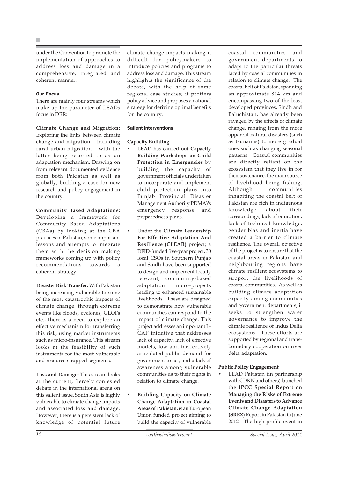under the Convention to promote the implementation of approaches to address loss and damage in a comprehensive, integrated and coherent manner.

#### Our Focus

There are mainly four streams which make up the parameter of LEADs focus in DRR:

**Climate Change and Migration:** Exploring the links between climate change and migration – including rural-urban migration – with the latter being resorted to as an adaptation mechanism. Drawing on from relevant documented evidence from both Pakistan as well as globally, building a case for new research and policy engagement in the country.

**Community Based Adaptations:** Developing a framework for Community Based Adaptations (CBAs) by looking at the CBA practices in Pakistan, some important lessons and attempts to integrate them with the decision making frameworks coming up with policy recommendations towards a coherent strategy.

**Disaster Risk Transfer:** With Pakistan being increasing vulnerable to some of the most catastrophic impacts of climate change, through extreme events like floods, cyclones, GLOFs etc., there is a need to explore an effective mechanism for transferring this risk, using market instruments such as micro-insurance. This stream looks at the feasibility of such instruments for the most vulnerable and resource strapped segments.

**Loss and Damage:** This stream looks at the current, fiercely contested debate in the international arena on this salient issue. South Asia is highly vulnerable to climate change impacts and associated loss and damage. However, there is a persistent lack of knowledge of potential future climate change impacts making it difficult for policymakers to introduce policies and programs to address loss and damage. This stream highlights the significance of the debate, with the help of some regional case studies; it proffers policy advice and proposes a national strategy for deriving optimal benefits for the country.

#### Salient Interventions

#### **Capacity Building**

- LEAD has carried out **Capacity Building Workshops on Child Protection in Emergencies** by building the capacity of government officials undertaken to incorporate and implement child protection plans into Punjab Provincial Disaster Management Authority PDMA)'s emergency response and preparedness plans.
- Under the **Climate Leadership For Effective Adaptation And Resilience (CLEAR)** project; a DFID-funded five-year project, 30 local CSOs in Southern Punjab and Sindh have been supported to design and implement locally relevant, community-based adaptation micro-projects leading to enhanced sustainable livelihoods. These are designed to demonstrate how vulnerable communities can respond to the impact of climate change. This project addresses an important L-CAP initiative that addresses lack of capacity, lack of effective models, low and ineffectively articulated public demand for government to act, and a lack of awareness among vulnerable communities as to their rights in relation to climate change.
- **Building Capacity on Climate Change Adaptation in Coastal Areas of Pakistan**, is an European Union funded project aiming to build the capacity of vulnerable

coastal communities and government departments to adapt to the particular threats faced by coastal communities in relation to climate change. The coastal belt of Pakistan, spanning an approximate 814 km and encompassing two of the least developed provinces, Sindh and Baluchistan, has already been ravaged by the effects of climate change, ranging from the more apparent natural disasters (such as tsunamis) to more gradual ones such as changing seasonal patterns. Coastal communities are directly reliant on the ecosystem that they live in for their sustenance, the main source of livelihood being fishing. Although communities inhabiting the coastal belt of Pakistan are rich in indigenous knowledge about their surroundings, lack of education, lack of technical knowledge, gender bias and inertia have created a barrier to climate resilience. The overall objective of the project is to ensure that the coastal areas in Pakistan and neighbouring regions have climate resilient ecosystems to support the livelihoods of coastal communities. As well as building climate adaptation capacity among communities and government departments, it seeks to strengthen water governance to improve the climate resilience of Indus Delta ecosystems. These efforts are supported by regional and trans-

#### **Public Policy Engagement**

delta adaptation.

LEAD Pakistan (in partnership with CDKN and others) launched the **IPCC Special Report on Managing the Risks of Extreme Events and Disasters to Advance Climate Change Adaptation (SREX)** Report in Pakistan in June 2012. The high profile event in

boundary cooperation on river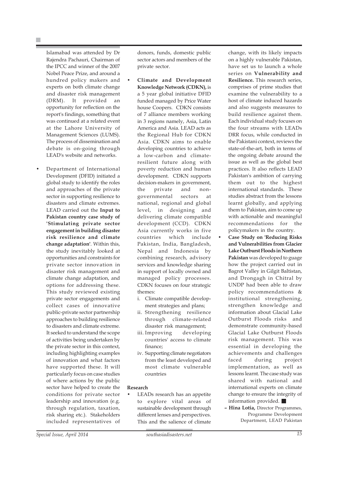Islamabad was attended by Dr Rajendra Pachauri, Chairman of the IPCC and winner of the 2007 Nobel Peace Prize, and around a hundred policy makers and experts on both climate change and disaster risk management (DRM). It provided an opportunity for reflection on the report's findings, something that was continued at a related event at the Lahore University of Management Sciences (LUMS). The process of dissemination and debate is on-going through LEAD's website and networks.

• Department of International Development (DFID) initiated a global study to identify the roles and approaches of the private sector in supporting resilience to disasters and climate extremes. LEAD carried out the **Input to Pakistan country case study of 'Stimulating private sector engagement in building disaster risk resilience and climate change adaptation'**. Within this, the study inevitably looked at opportunities and constraints for private sector innovation in disaster risk management and climate change adaptation, and options for addressing these. This study reviewed existing private sector engagements and collect cases of innovative public-private sector partnership approaches to building resilience to disasters and climate extreme. It seeked to understand the scope of activities being undertaken by the private sector in this context, including highlighting examples of innovation and what factors have supported these. It will particularly focus on case studies of where actions by the public sector have helped to create the conditions for private sector leadership and innovation (e.g. through regulation, taxation, risk sharing etc.). Stakeholders included representatives of

- **Climate and Development Knowledge Network (CDKN),** is a 5 year global initiative DFID funded managed by Price Water house Coopers. CDKN consists of 7 alliance members working in 3 regions namely, Asia, Latin America and Asia. LEAD acts as the Regional Hub for CDKN Asia. CDKN aims to enable developing countries to achieve a low-carbon and climateresilient future along with poverty reduction and human development. CDKN supports decision-makers in government, the private and nongovernmental sectors at national, regional and global level, in designing and delivering climate compatible development (CCD). CDKN Asia currently works in five countries which include Pakistan, India, Bangladesh, Nepal and Indonesia by combining research, advisory services and knowledge sharing in support of locally owned and managed policy processes. CDKN focuses on four strategic themes:
	- i. Climate compatible development strategies and plans;
	- ii. Strengthening resilience through climate-related disaster risk management;
	- iii. Improving developing countries' access to climate finance;
	- iv. Supporting climate negotiators from the least developed and most climate vulnerable countries

#### **Research**

LEADs research has an appetite to explore vital areas of sustainable development through different lenses and perspectives. This and the salience of climate

*Special Issue, April 2014 southasiadisasters.net 15*

change, with its likely impacts on a highly vulnerable Pakistan, have set us to launch a whole series on **Vulnerability and Resilience.** This research series, comprises of prime studies that examine the vulnerability to a host of climate induced hazards and also suggests measures to build resilience against them. Each individual study focuses on the four streams with LEADs DRR focus, while conducted in the Pakistani context, reviews the state-of-the-art, both in terms of the ongoing debate around the issue as well as the global best practices. It also reflects LEAD Pakistan's ambition of carrying them out to the highest international standards. These studies abstract from the lessons learnt globally, and applying them to Pakistan, aim to come up with actionable and meaningful recommendations for the policymakers in the country.

- **Case Study on 'Reducing Risks and Vulnerabilities from Glacier Lake Outburst Floods in Northern Pakistan** was developed to guage how the project carried out in Bagrot Valley in Gilgit Baltistan, and Drongagh in Chitral by UNDP had been able to draw policy recommendations & institutional strengthening, strengthen knowledge and information about Glacial Lake Outburst Floods risks and demonstrate community-based Glacial Lake Outburst Floods risk management. This was essential in developing the achievements and challenges faced during project implementation, as well as lessons learnt. The case study was shared with national and international experts on climate change to ensure the integrity of information provided.
- **Hina Lotia,** Director Programmes, Programme Development Department, LEAD Pakistan